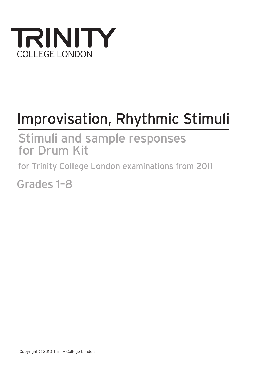

# Improvisation, Rhythmic Stimuli

Stimuli and sample responses for Drum Kit

for Trinity College London examinations from 2011

Grades 1–8

Copyright © 2010 Trinity College London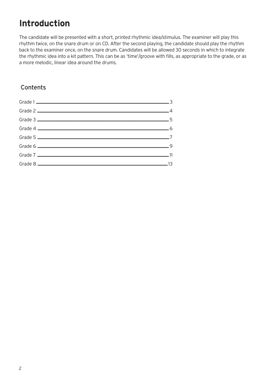# **Introduction**

The candidate will be presented with a short, printed rhythmic idea/stimulus. The examiner will play this rhythm twice, on the snare drum or on CD. After the second playing, the candidate should play the rhythm back to the examiner once, on the snare drum. Candidates will be allowed 30 seconds in which to integrate the rhythmic idea into a kit pattern. This can be as 'time'/groove with fills, as appropriate to the grade, or as a more melodic, linear idea around the drums.

#### Contents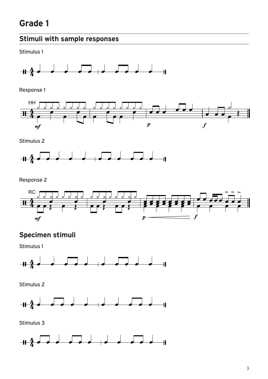#### **Stimuli with sample responses**

Stimulus 1



Response 1



Stimulus 2



Response 2



#### **Specimen stimuli**

Stimulus 1



Stimulus 2



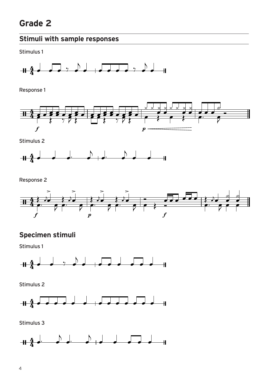Stimulus 1



Response 1



Stimulus 2



Response 2



#### **Specimen stimuli**

Stimulus 1



Stimulus 2



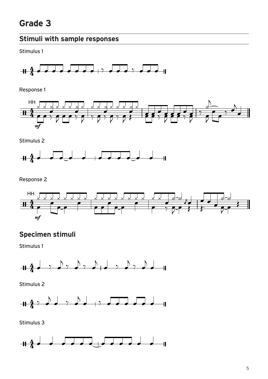#### **Stimuli with sample responses**

Stimulus 1



Response 1



Stimulus 2



Response 2



#### **Specimen stimuli**

Stimulus 1



Stimulus 2



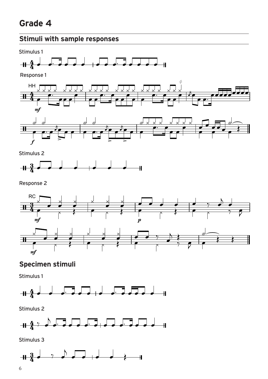



Response 2



#### **Specimen stimuli**

Stimulus 1



Stimulus 2



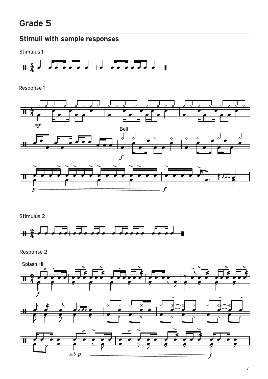## **Stimuli with sample responses**

Stimulus 1



Response 1



Stimulus 2



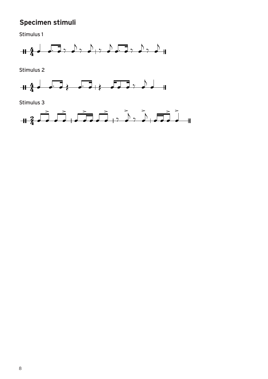## **Specimen stimuli**

Stimulus 1



Stimulus 2



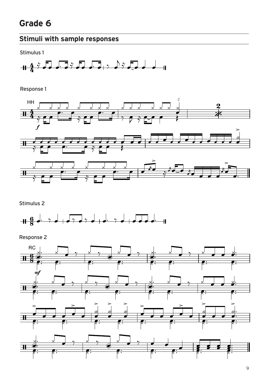## **Stimuli with sample responses**

Stimulus 1



Response 1



Stimulus 2



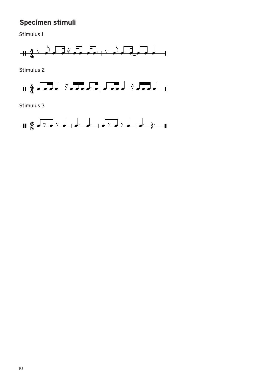## **Specimen stimuli**

Stimulus 1



Stimulus 2



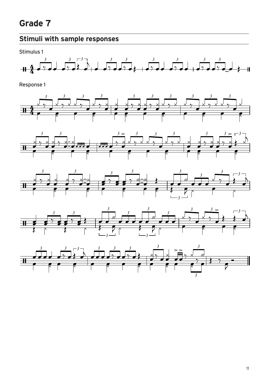## **Stimuli with sample responses**

Stimulus 1











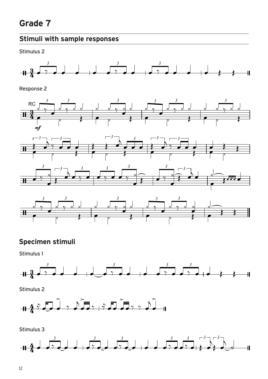#### **Stimuli with sample responses**

Stimulus 2



Response 2







## **Specimen stimuli**

Stimulus 1



Stimulus 2



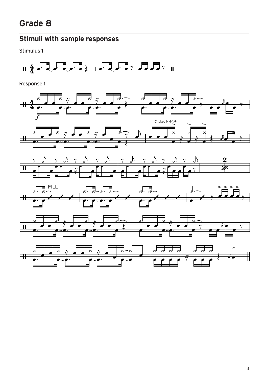Stimulus 1